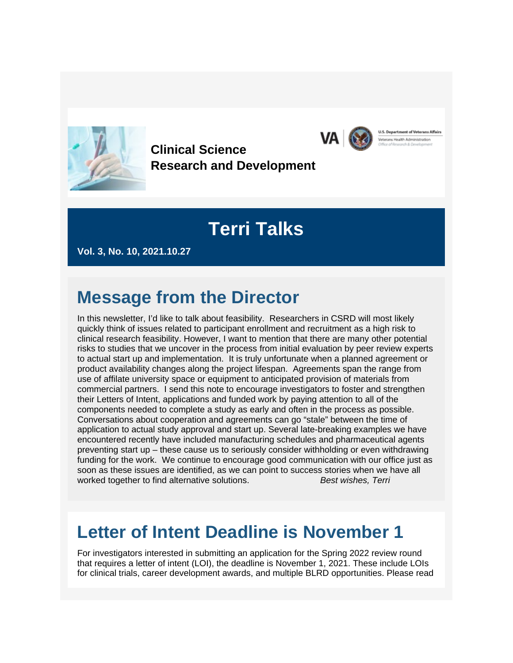

**Clinical Science Research and Development**

# **Terri Talks**

**U.S. Department of Veterans Affairs** 

rans Health Administration

**VA** 

**Vol. 3, No. 10, 2021.10.27**

### **Message from the Director**

In this newsletter, I'd like to talk about feasibility. Researchers in CSRD will most likely quickly think of issues related to participant enrollment and recruitment as a high risk to clinical research feasibility. However, I want to mention that there are many other potential risks to studies that we uncover in the process from initial evaluation by peer review experts to actual start up and implementation. It is truly unfortunate when a planned agreement or product availability changes along the project lifespan. Agreements span the range from use of affilate university space or equipment to anticipated provision of materials from commercial partners. I send this note to encourage investigators to foster and strengthen their Letters of Intent, applications and funded work by paying attention to all of the components needed to complete a study as early and often in the process as possible. Conversations about cooperation and agreements can go "stale" between the time of application to actual study approval and start up. Several late-breaking examples we have encountered recently have included manufacturing schedules and pharmaceutical agents preventing start up – these cause us to seriously consider withholding or even withdrawing funding for the work. We continue to encourage good communication with our office just as soon as these issues are identified, as we can point to success stories when we have all worked together to find alternative solutions. *Best wishes, Terri*

#### **Letter of Intent Deadline is November 1**

For investigators interested in submitting an application for the Spring 2022 review round that requires a letter of intent (LOI), the deadline is November 1, 2021. These include LOIs for clinical trials, career development awards, and multiple BLRD opportunities. Please read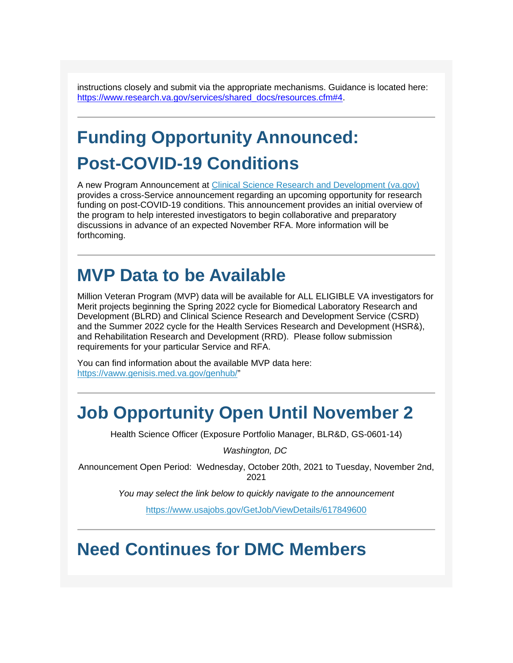instructions closely and submit via the appropriate mechanisms. Guidance is located here: [https://www.research.va.gov/services/shared\\_docs/resources.cfm#4.](https://www.research.va.gov/services/shared_docs/resources.cfm#4)

# **Funding Opportunity Announced: Post-COVID-19 Conditions**

A new Program Announcement at [Clinical Science Research and Development \(va.gov\)](https://gcc02.safelinks.protection.outlook.com/?url=https%3A%2F%2Fwww.research.va.gov%2Fservices%2Fcsrd%2F&data=04%7C01%7C%7C0f65e3994d414ee27d5308d9993f6559%7Ce95f1b23abaf45ee821db7ab251ab3bf%7C0%7C0%7C637709319832147249%7CUnknown%7CTWFpbGZsb3d8eyJWIjoiMC4wLjAwMDAiLCJQIjoiV2luMzIiLCJBTiI6Ik1haWwiLCJXVCI6Mn0%3D%7C1000&sdata=oa6E1U7sK5A4%2Fn0hGTXNHcHFgmBU8rGFDlEtnlFSmV0%3D&reserved=0) provides a cross-Service announcement regarding an upcoming opportunity for research funding on post-COVID-19 conditions. This announcement provides an initial overview of the program to help interested investigators to begin collaborative and preparatory discussions in advance of an expected November RFA. More information will be forthcoming.

#### **MVP Data to be Available**

Million Veteran Program (MVP) data will be available for ALL ELIGIBLE VA investigators for Merit projects beginning the Spring 2022 cycle for Biomedical Laboratory Research and Development (BLRD) and Clinical Science Research and Development Service (CSRD) and the Summer 2022 cycle for the Health Services Research and Development (HSR&), and Rehabilitation Research and Development (RRD). Please follow submission requirements for your particular Service and RFA.

You can find information about the available MVP data here: [https://vaww.genisis.med.va.gov/genhub/"](https://gcc02.safelinks.protection.outlook.com/?url=https%3A%2F%2Fvaww.genisis.med.va.gov%2Fgenhub%2F&data=04%7C01%7C%7C0f65e3994d414ee27d5308d9993f6559%7Ce95f1b23abaf45ee821db7ab251ab3bf%7C0%7C0%7C637709319832157213%7CUnknown%7CTWFpbGZsb3d8eyJWIjoiMC4wLjAwMDAiLCJQIjoiV2luMzIiLCJBTiI6Ik1haWwiLCJXVCI6Mn0%3D%7C1000&sdata=6D47Gprn0Gtusm%2BBopiW9V%2B6omRMVYjB1cMJaVIm%2Bd4%3D&reserved=0)

#### **Job Opportunity Open Until November 2**

Health Science Officer (Exposure Portfolio Manager, BLR&D, GS-0601-14)

*Washington, DC*

Announcement Open Period: Wednesday, October 20th, 2021 to Tuesday, November 2nd, 2021

*You may select the link below to quickly navigate to the announcement*

[https://www.usajobs.gov/GetJob/ViewDetails/617849600](https://gcc02.safelinks.protection.outlook.com/?url=https%3A%2F%2Fwww.usajobs.gov%2FGetJob%2FViewDetails%2F617849600&data=04%7C01%7C%7C0f65e3994d414ee27d5308d9993f6559%7Ce95f1b23abaf45ee821db7ab251ab3bf%7C0%7C0%7C637709319832157213%7CUnknown%7CTWFpbGZsb3d8eyJWIjoiMC4wLjAwMDAiLCJQIjoiV2luMzIiLCJBTiI6Ik1haWwiLCJXVCI6Mn0%3D%7C1000&sdata=635ZexFgy7qc2rWL1Y%2FdPu8a49IPh3mKzp0%2Bs7JzN%2Bc%3D&reserved=0)

## **Need Continues for DMC Members**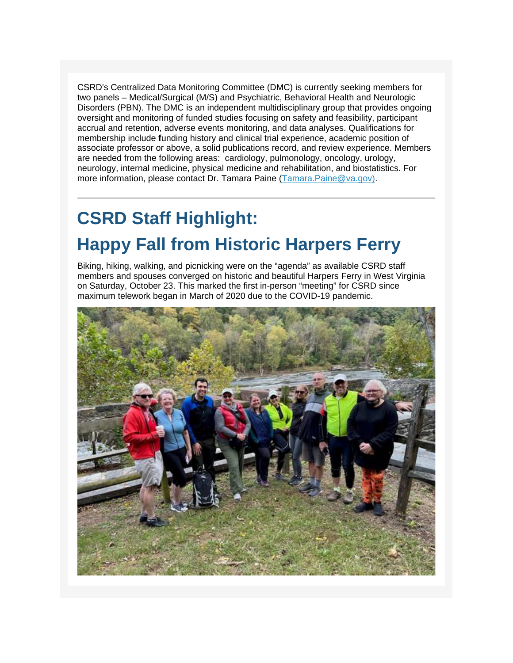CSRD's Centralized Data Monitoring Committee (DMC) is currently seeking members for two panels – Medical/Surgical (M/S) and Psychiatric, Behavioral Health and Neurologic Disorders (PBN). The DMC is an independent multidisciplinary group that provides ongoing oversight and monitoring of funded studies focusing on safety and feasibility, participant accrual and retention, adverse events monitoring, and data analyses. Qualifications for membership include **f**unding history and clinical trial experience, academic position of associate professor or above, a solid publications record, and review experience. Members are needed from the following areas: cardiology, pulmonology, oncology, urology, neurology, internal medicine, physical medicine and rehabilitation, and biostatistics. For more information, please contact Dr. Tamara Paine [\(Tamara.Paine@va.gov\).](mailto:Tamara.Paine@va.gov))

# **CSRD Staff Highlight: Happy Fall from Historic Harpers Ferry**

Biking, hiking, walking, and picnicking were on the "agenda" as available CSRD staff members and spouses converged on historic and beautiful Harpers Ferry in West Virginia on Saturday, October 23. This marked the first in-person "meeting" for CSRD since maximum telework began in March of 2020 due to the COVID-19 pandemic.